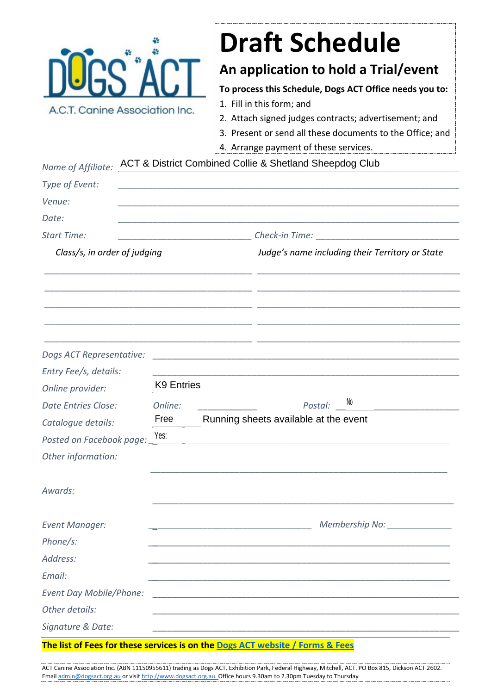

## **Draft Schedule**

## **An application to hold a Trial/event**

**To process this Schedule, Dogs ACT Office needs you to:**

- 1. Fill in this form; and
- 2. Attach signed judges contracts; advertisement; and
- 3. Present or send all these documents to the Office; and
- 4. Arrange payment of these services.

| Name of Affiliate:             | ACT & District Combined Collie & Shetland Sheepdog Club |                                                                            |
|--------------------------------|---------------------------------------------------------|----------------------------------------------------------------------------|
| Type of Event:                 |                                                         |                                                                            |
| Venue:                         |                                                         |                                                                            |
| Date:                          |                                                         |                                                                            |
| <b>Start Time:</b>             |                                                         |                                                                            |
| Class/s, in order of judging   |                                                         | Judge's name including their Territory or State                            |
|                                |                                                         |                                                                            |
|                                |                                                         |                                                                            |
| Dogs ACT Representative:       |                                                         | the control of the control of the control of the control of the control of |
| Entry Fee/s, details:          |                                                         |                                                                            |
| Online provider:               | <b>K9 Entries</b>                                       |                                                                            |
| <b>Date Entries Close:</b>     | Online:                                                 | No<br>Postal:                                                              |
| Catalogue details:             | Free                                                    | Running sheets available at the event                                      |
| Posted on Facebook page: Nes:  |                                                         |                                                                            |
| Other information:             |                                                         |                                                                            |
| Awards:                        |                                                         |                                                                            |
| <b>Event Manager:</b>          |                                                         |                                                                            |
| Phone/s:                       |                                                         |                                                                            |
| Address:                       |                                                         |                                                                            |
| Email:                         |                                                         |                                                                            |
| <b>Event Day Mobile/Phone:</b> |                                                         |                                                                            |
| Other details:                 |                                                         |                                                                            |
| Signature & Date:              |                                                         |                                                                            |

ACT Canine Association Inc. (ABN 11150955611) trading as Dogs ACT. Exhibition Park, Federal Highway, Mitchell, ACT. PO Box 815, Dickson ACT 2602. Email [admin@dogsact.org.au](mailto:admin@dogsact.org.au) or visit http [//www.dogsact.org.au.](http://www.dogsact.org.au/) Office hours 9.30am to 2.30pm Tuesday to Thursday